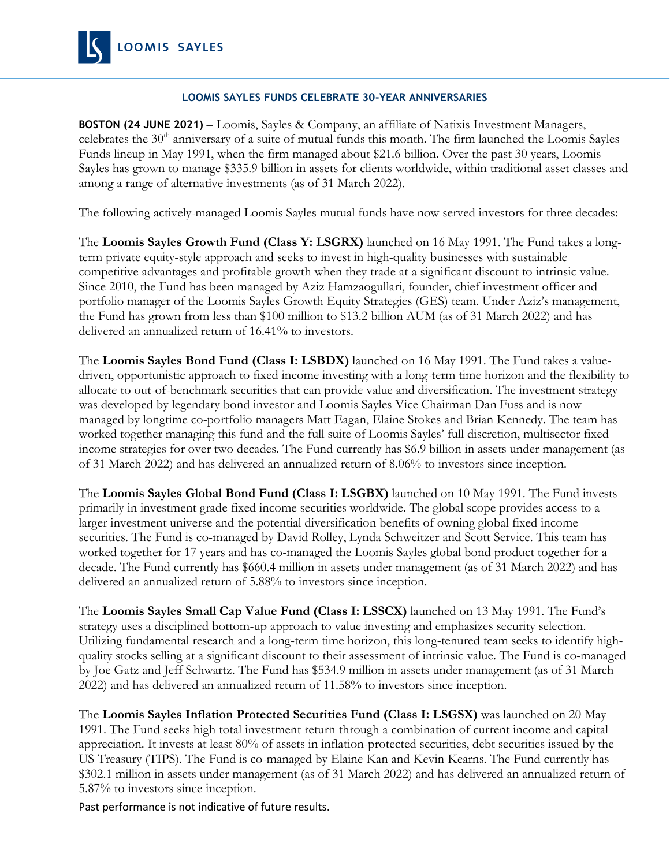# **LOOMIS SAYLES FUNDS CELEBRATE 30-YEAR ANNIVERSARIES**

**BOSTON (24 JUNE 2021)** – Loomis, Sayles & Company, an affiliate of Natixis Investment Managers, celebrates the  $30<sup>th</sup>$  anniversary of a suite of mutual funds this month. The firm launched the Loomis Sayles Funds lineup in May 1991, when the firm managed about \$21.6 billion. Over the past 30 years, Loomis Sayles has grown to manage \$335.9 billion in assets for clients worldwide, within traditional asset classes and among a range of alternative investments (as of 31 March 2022).

The following actively-managed Loomis Sayles mutual funds have now served investors for three decades:

The **Loomis Sayles Growth Fund (Class Y: LSGRX)** launched on 16 May 1991. The Fund takes a longterm private equity-style approach and seeks to invest in high-quality businesses with sustainable competitive advantages and profitable growth when they trade at a significant discount to intrinsic value. Since 2010, the Fund has been managed by Aziz Hamzaogullari, founder, chief investment officer and portfolio manager of the Loomis Sayles Growth Equity Strategies (GES) team. Under Aziz's management, the Fund has grown from less than \$100 million to \$13.2 billion AUM (as of 31 March 2022) and has delivered an annualized return of 16.41% to investors.

The **Loomis Sayles Bond Fund (Class I: LSBDX)** launched on 16 May 1991. The Fund takes a valuedriven, opportunistic approach to fixed income investing with a long-term time horizon and the flexibility to allocate to out-of-benchmark securities that can provide value and diversification. The investment strategy was developed by legendary bond investor and Loomis Sayles Vice Chairman Dan Fuss and is now managed by longtime co-portfolio managers Matt Eagan, Elaine Stokes and Brian Kennedy. The team has worked together managing this fund and the full suite of Loomis Sayles' full discretion, multisector fixed income strategies for over two decades. The Fund currently has \$6.9 billion in assets under management (as of 31 March 2022) and has delivered an annualized return of 8.06% to investors since inception.

The **Loomis Sayles Global Bond Fund (Class I: LSGBX)** launched on 10 May 1991. The Fund invests primarily in investment grade fixed income securities worldwide. The global scope provides access to a larger investment universe and the potential diversification benefits of owning global fixed income securities. The Fund is co-managed by David Rolley, Lynda Schweitzer and Scott Service. This team has worked together for 17 years and has co-managed the Loomis Sayles global bond product together for a decade. The Fund currently has \$660.4 million in assets under management (as of 31 March 2022) and has delivered an annualized return of 5.88% to investors since inception.

The **Loomis Sayles Small Cap Value Fund (Class I: LSSCX)** launched on 13 May 1991. The Fund's strategy uses a disciplined bottom-up approach to value investing and emphasizes security selection. Utilizing fundamental research and a long-term time horizon, this long-tenured team seeks to identify highquality stocks selling at a significant discount to their assessment of intrinsic value. The Fund is co-managed by Joe Gatz and Jeff Schwartz. The Fund has \$534.9 million in assets under management (as of 31 March 2022) and has delivered an annualized return of 11.58% to investors since inception.

The **Loomis Sayles Inflation Protected Securities Fund (Class I: LSGSX)** was launched on 20 May 1991. The Fund seeks high total investment return through a combination of current income and capital appreciation. It invests at least 80% of assets in inflation-protected securities, debt securities issued by the US Treasury (TIPS). The Fund is co-managed by Elaine Kan and Kevin Kearns. The Fund currently has \$302.1 million in assets under management (as of 31 March 2022) and has delivered an annualized return of 5.87% to investors since inception.

Past performance is not indicative of future results.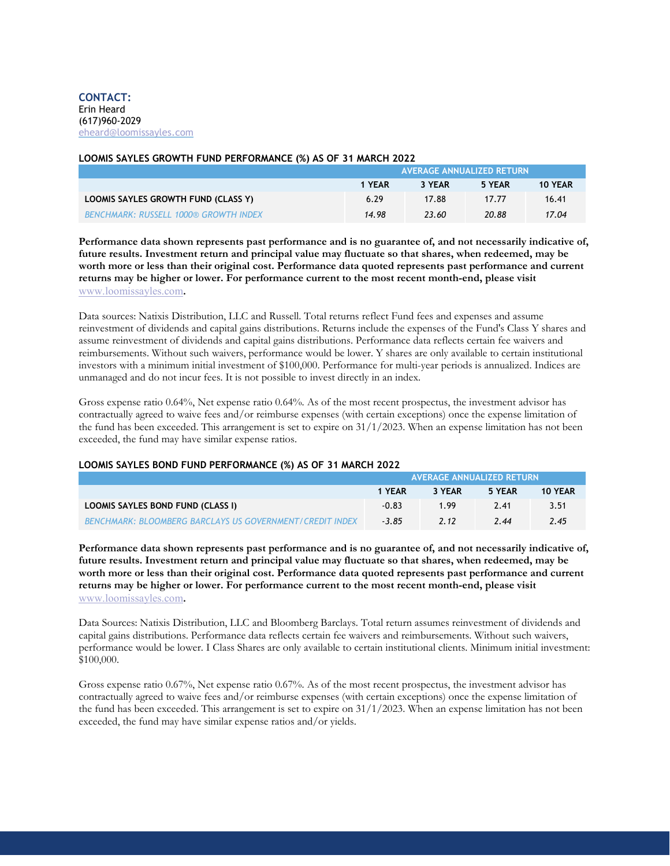### **LOOMIS SAYLES GROWTH FUND PERFORMANCE (%) AS OF 31 MARCH 2022**

|                                              | <b>AVERAGE ANNUALIZED RETURN</b> |        |        |         |  |
|----------------------------------------------|----------------------------------|--------|--------|---------|--|
|                                              | 1 YEAR                           | 3 YEAR | 5 YEAR | 10 YEAR |  |
| LOOMIS SAYLES GROWTH FUND (CLASS Y)          | 6.29                             | 17.88  | 17.77  | 16.41   |  |
| <b>BENCHMARK: RUSSELL 1000® GROWTH INDEX</b> | 14.98                            | 23.60  | 20.88  | 17.04   |  |

**Performance data shown represents past performance and is no guarantee of, and not necessarily indicative of, future results. Investment return and principal value may fluctuate so that shares, when redeemed, may be worth more or less than their original cost. Performance data quoted represents past performance and current returns may be higher or lower. For performance current to the most recent month-end, please visit**  [www.loomissayles.com](http://www.loomissayles.com/)**.** 

Data sources: Natixis Distribution, LLC and Russell. Total returns reflect Fund fees and expenses and assume reinvestment of dividends and capital gains distributions. Returns include the expenses of the Fund's Class Y shares and assume reinvestment of dividends and capital gains distributions. Performance data reflects certain fee waivers and reimbursements. Without such waivers, performance would be lower. Y shares are only available to certain institutional investors with a minimum initial investment of \$100,000. Performance for multi-year periods is annualized. Indices are unmanaged and do not incur fees. It is not possible to invest directly in an index.

Gross expense ratio 0.64%, Net expense ratio 0.64%. As of the most recent prospectus, the investment advisor has contractually agreed to waive fees and/or reimburse expenses (with certain exceptions) once the expense limitation of the fund has been exceeded. This arrangement is set to expire on  $31/1/2023$ . When an expense limitation has not been exceeded, the fund may have similar expense ratios.

### **LOOMIS SAYLES BOND FUND PERFORMANCE (%) AS OF 31 MARCH 2022**

|                                                                 | AVERAGE ANNUALIZED RETURN |        |        |         |
|-----------------------------------------------------------------|---------------------------|--------|--------|---------|
|                                                                 | 1 YEAR                    | 3 YEAR | 5 YEAR | 10 YEAR |
| <b>LOOMIS SAYLES BOND FUND (CLASS I)</b>                        | $-0.83$                   | 199    | 741    | 3.51    |
| <b>BENCHMARK: BLOOMBERG BARCLAYS US GOVERNMENT/CREDIT INDEX</b> | $-3.85$                   | 2.12   | 7.44   | 7.45    |

**Performance data shown represents past performance and is no guarantee of, and not necessarily indicative of, future results. Investment return and principal value may fluctuate so that shares, when redeemed, may be worth more or less than their original cost. Performance data quoted represents past performance and current returns may be higher or lower. For performance current to the most recent month-end, please visit**  [www.loomissayles.com](http://www.loomissayles.com/)**.** 

Data Sources: Natixis Distribution, LLC and Bloomberg Barclays. Total return assumes reinvestment of dividends and capital gains distributions. Performance data reflects certain fee waivers and reimbursements. Without such waivers, performance would be lower. I Class Shares are only available to certain institutional clients. Minimum initial investment: \$100,000.

Gross expense ratio 0.67%, Net expense ratio 0.67%. As of the most recent prospectus, the investment advisor has contractually agreed to waive fees and/or reimburse expenses (with certain exceptions) once the expense limitation of the fund has been exceeded. This arrangement is set to expire on 31/1/2023. When an expense limitation has not been exceeded, the fund may have similar expense ratios and/or yields.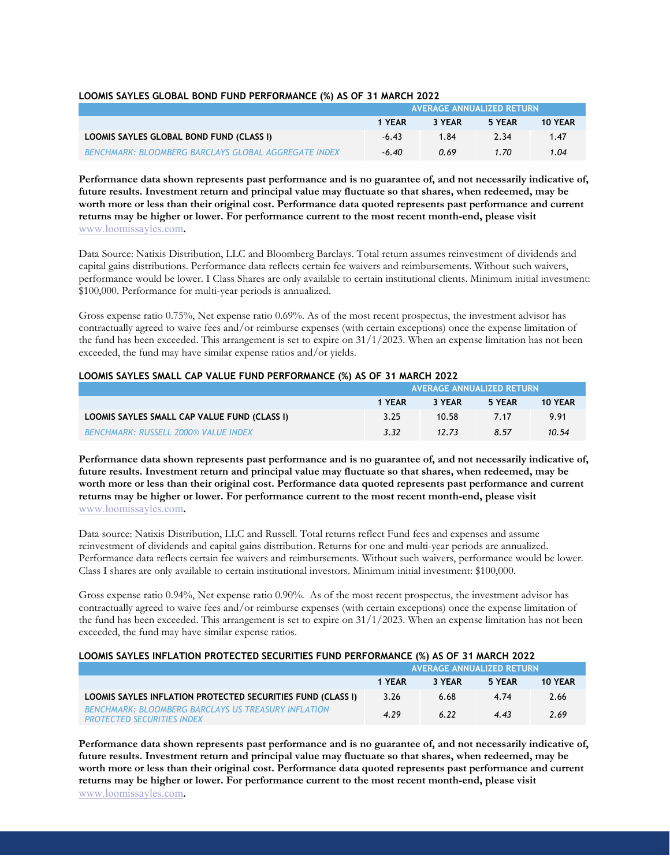### **LOOMIS SAYLES GLOBAL BOND FUND PERFORMANCE (%) AS OF 31 MARCH 2022**

|                                                             | AVERAGE ANNUALIZED RETURN |        |        |                |
|-------------------------------------------------------------|---------------------------|--------|--------|----------------|
|                                                             | 1 YEAR                    | 3 YEAR | 5 YEAR | <b>10 YEAR</b> |
| LOOMIS SAYLES GLOBAL BOND FUND (CLASS I)                    | $-6.43$                   | 1.84   | 2.34   | 1.47           |
| <b>BENCHMARK: BLOOMBERG BARCLAYS GLOBAL AGGREGATE INDEX</b> | $-6.40$                   | 0.69   | 1.70   | 1.04           |

**Performance data shown represents past performance and is no guarantee of, and not necessarily indicative of, future results. Investment return and principal value may fluctuate so that shares, when redeemed, may be**  worth more or less than their original cost. Performance data quoted represents past performance and current **returns may be higher or lower. For performance current to the most recent month-end, please visit**  [www.loomissayles.com](http://www.loomissayles.com/)**.** 

Data Source: Natixis Distribution, LLC and Bloomberg Barclays. Total return assumes reinvestment of dividends and capital gains distributions. Performance data reflects certain fee waivers and reimbursements. Without such waivers, performance would be lower. I Class Shares are only available to certain institutional clients. Minimum initial investment: \$100,000. Performance for multi-year periods is annualized.

Gross expense ratio 0.75%, Net expense ratio 0.69%. As of the most recent prospectus, the investment advisor has contractually agreed to waive fees and/or reimburse expenses (with certain exceptions) once the expense limitation of the fund has been exceeded. This arrangement is set to expire on  $31/1/2023$ . When an expense limitation has not been exceeded, the fund may have similar expense ratios and/or yields.

| EQUING SATELS SINALL CAL TALUE I UND TENTURINGE (10) AS OF STINANCITED LE |                                  |        |        |                |  |
|---------------------------------------------------------------------------|----------------------------------|--------|--------|----------------|--|
|                                                                           | <b>AVERAGE ANNUALIZED RETURN</b> |        |        |                |  |
|                                                                           | 1 YEAR                           | 3 YEAR | 5 YEAR | <b>10 YEAR</b> |  |
| LOOMIS SAYLES SMALL CAP VALUE FUND (CLASS I)                              | 3.25                             | 10.58  | 7 17   | 991            |  |
| <b>BENCHMARK: RUSSELL 2000® VALUE INDEX</b>                               | 3.32                             | 12.73  | 857    | 10.54          |  |

## **LOOMIS SAYLES SMALL CAP VALUE FUND PERFORMANCE (%) AS OF 31 MARCH 2022**

**Performance data shown represents past performance and is no guarantee of, and not necessarily indicative of, future results. Investment return and principal value may fluctuate so that shares, when redeemed, may be worth more or less than their original cost. Performance data quoted represents past performance and current returns may be higher or lower. For performance current to the most recent month-end, please visit**  [www.loomissayles.com](http://www.loomissayles.com/)**.** 

Data source: Natixis Distribution, LLC and Russell. Total returns reflect Fund fees and expenses and assume reinvestment of dividends and capital gains distribution. Returns for one and multi-year periods are annualized. Performance data reflects certain fee waivers and reimbursements. Without such waivers, performance would be lower. Class I shares are only available to certain institutional investors. Minimum initial investment: \$100,000.

Gross expense ratio 0.94%, Net expense ratio 0.90%. As of the most recent prospectus, the investment advisor has contractually agreed to waive fees and/or reimburse expenses (with certain exceptions) once the expense limitation of the fund has been exceeded. This arrangement is set to expire on 31/1/2023. When an expense limitation has not been exceeded, the fund may have similar expense ratios.

### **LOOMIS SAYLES INFLATION PROTECTED SECURITIES FUND PERFORMANCE (%) AS OF 31 MARCH 2022**

|                                                                                                 | <b>AVERAGE ANNUALIZED RETURN</b> |        |        |         |
|-------------------------------------------------------------------------------------------------|----------------------------------|--------|--------|---------|
|                                                                                                 | 1 YEAR                           | 3 YEAR | 5 YEAR | 10 YEAR |
| LOOMIS SAYLES INFLATION PROTECTED SECURITIES FUND (CLASS I)                                     | 3.26                             | 6.68   | 4.74   | 2.66    |
| <b>BENCHMARK: BLOOMBERG BARCLAYS US TREASURY INFLATION</b><br><b>PROTECTED SECURITIES INDEX</b> | 4.29                             | 6.22   | 4.43   | 2.69    |

**Performance data shown represents past performance and is no guarantee of, and not necessarily indicative of, future results. Investment return and principal value may fluctuate so that shares, when redeemed, may be worth more or less than their original cost. Performance data quoted represents past performance and current returns may be higher or lower. For performance current to the most recent month-end, please visit**  [www.loomissayles.com](http://www.loomissayles.com/)**.**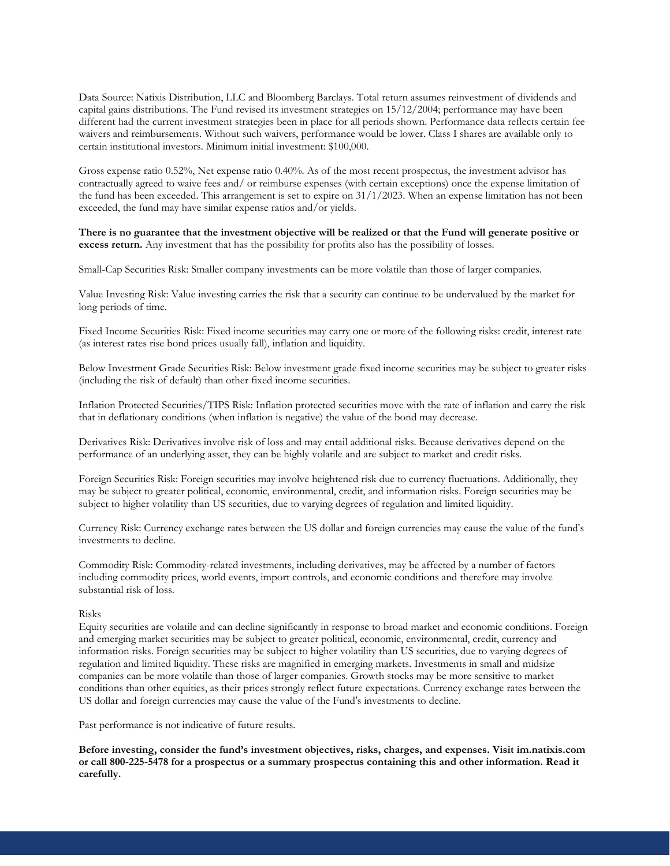Data Source: Natixis Distribution, LLC and Bloomberg Barclays. Total return assumes reinvestment of dividends and capital gains distributions. The Fund revised its investment strategies on 15/12/2004; performance may have been different had the current investment strategies been in place for all periods shown. Performance data reflects certain fee waivers and reimbursements. Without such waivers, performance would be lower. Class I shares are available only to certain institutional investors. Minimum initial investment: \$100,000.

Gross expense ratio 0.52%, Net expense ratio 0.40%. As of the most recent prospectus, the investment advisor has contractually agreed to waive fees and/ or reimburse expenses (with certain exceptions) once the expense limitation of the fund has been exceeded. This arrangement is set to expire on  $31/1/2023$ . When an expense limitation has not been exceeded, the fund may have similar expense ratios and/or yields.

**There is no guarantee that the investment objective will be realized or that the Fund will generate positive or excess return.** Any investment that has the possibility for profits also has the possibility of losses.

Small-Cap Securities Risk: Smaller company investments can be more volatile than those of larger companies.

Value Investing Risk: Value investing carries the risk that a security can continue to be undervalued by the market for long periods of time.

Fixed Income Securities Risk: Fixed income securities may carry one or more of the following risks: credit, interest rate (as interest rates rise bond prices usually fall), inflation and liquidity.

Below Investment Grade Securities Risk: Below investment grade fixed income securities may be subject to greater risks (including the risk of default) than other fixed income securities.

Inflation Protected Securities/TIPS Risk: Inflation protected securities move with the rate of inflation and carry the risk that in deflationary conditions (when inflation is negative) the value of the bond may decrease.

Derivatives Risk: Derivatives involve risk of loss and may entail additional risks. Because derivatives depend on the performance of an underlying asset, they can be highly volatile and are subject to market and credit risks.

Foreign Securities Risk: Foreign securities may involve heightened risk due to currency fluctuations. Additionally, they may be subject to greater political, economic, environmental, credit, and information risks. Foreign securities may be subject to higher volatility than US securities, due to varying degrees of regulation and limited liquidity.

Currency Risk: Currency exchange rates between the US dollar and foreign currencies may cause the value of the fund's investments to decline.

Commodity Risk: Commodity-related investments, including derivatives, may be affected by a number of factors including commodity prices, world events, import controls, and economic conditions and therefore may involve substantial risk of loss.

#### Risks

Equity securities are volatile and can decline significantly in response to broad market and economic conditions. Foreign and emerging market securities may be subject to greater political, economic, environmental, credit, currency and information risks. Foreign securities may be subject to higher volatility than US securities, due to varying degrees of regulation and limited liquidity. These risks are magnified in emerging markets. Investments in small and midsize companies can be more volatile than those of larger companies. Growth stocks may be more sensitive to market conditions than other equities, as their prices strongly reflect future expectations. Currency exchange rates between the US dollar and foreign currencies may cause the value of the Fund's investments to decline.

Past performance is not indicative of future results.

**Before investing, consider the fund's investment objectives, risks, charges, and expenses. Visit im.natixis.com or call 800-225-5478 for a prospectus or a summary prospectus containing this and other information. Read it carefully.**